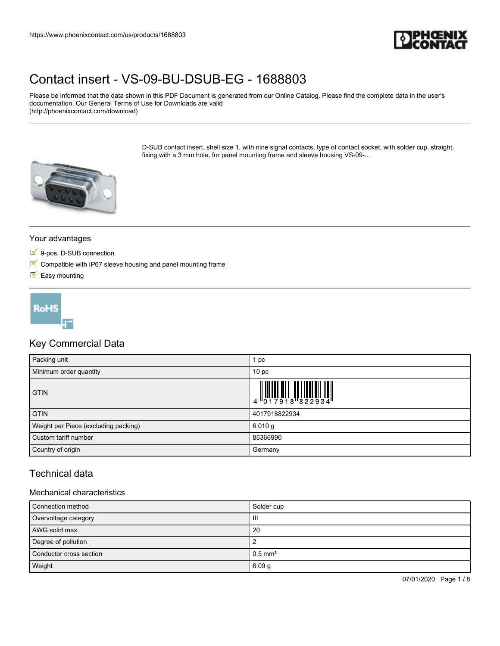

Please be informed that the data shown in this PDF Document is generated from our Online Catalog. Please find the complete data in the user's documentation. Our General Terms of Use for Downloads are valid (http://phoenixcontact.com/download)

> D-SUB contact insert, shell size 1, with nine signal contacts, type of contact socket, with solder cup, straight, fixing with a 3 mm hole, for panel mounting frame and sleeve housing VS-09-...



### Your advantages

- 9-pos. D-SUB connection
- $\blacksquare$  Compatible with IP67 sleeve housing and panel mounting frame
- $\blacksquare$  Easy mounting



## Key Commercial Data

| Packing unit                         | pc                                                                                                                                                                                                                                                                                                                             |
|--------------------------------------|--------------------------------------------------------------------------------------------------------------------------------------------------------------------------------------------------------------------------------------------------------------------------------------------------------------------------------|
| Minimum order quantity               | 10 <sub>p</sub>                                                                                                                                                                                                                                                                                                                |
| <b>GTIN</b>                          | $\begin{array}{c} 1 & 0 & 0 & 0 \\ 0 & 1 & 0 & 0 \\ 0 & 1 & 0 & 0 \\ 0 & 0 & 0 & 0 \\ 0 & 0 & 0 & 0 \\ 0 & 0 & 0 & 0 \\ 0 & 0 & 0 & 0 \\ 0 & 0 & 0 & 0 \\ 0 & 0 & 0 & 0 \\ 0 & 0 & 0 & 0 \\ 0 & 0 & 0 & 0 \\ 0 & 0 & 0 & 0 & 0 \\ 0 & 0 & 0 & 0 & 0 \\ 0 & 0 & 0 & 0 & 0 \\ 0 & 0 & 0 & 0 & 0 & 0 \\ 0 & 0 & 0 & 0 & 0 & 0 \\$ |
| <b>GTIN</b>                          | 4017918822934                                                                                                                                                                                                                                                                                                                  |
| Weight per Piece (excluding packing) | 6.010 g                                                                                                                                                                                                                                                                                                                        |
| Custom tariff number                 | 85366990                                                                                                                                                                                                                                                                                                                       |
| Country of origin                    | Germany                                                                                                                                                                                                                                                                                                                        |

## Technical data

#### Mechanical characteristics

| Connection method       | Solder cup            |
|-------------------------|-----------------------|
| Overvoltage category    | Ш                     |
| AWG solid max.          | 20                    |
| Degree of pollution     |                       |
| Conductor cross section | $0.5$ mm <sup>2</sup> |
| Weight                  | 6.09 <sub>g</sub>     |

07/01/2020 Page 1 / 8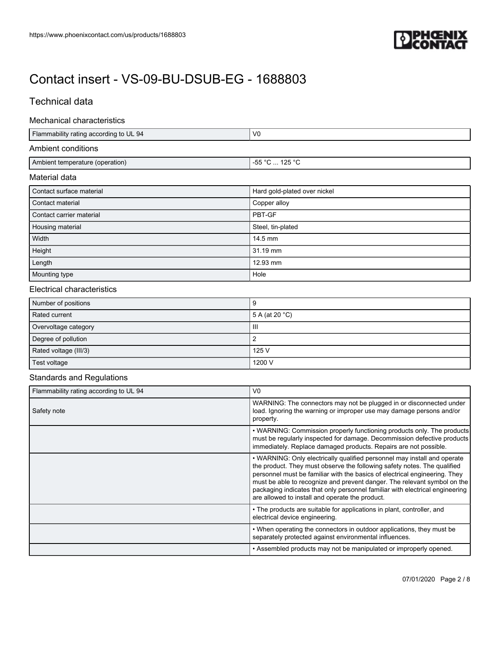

## Technical data

#### Mechanical characteristics

| Flammability rating according to UL 94 | V <sub>0</sub>               |
|----------------------------------------|------------------------------|
| Ambient conditions                     |                              |
| Ambient temperature (operation)        | -55 °C  125 °C               |
| Material data                          |                              |
| Contact surface material               | Hard gold-plated over nickel |
| Contact material                       | Copper alloy                 |
| Contact carrier material               | PBT-GF                       |
| Housing material                       | Steel, tin-plated            |
| Width                                  | 14.5 mm                      |
| Height                                 | 31.19 mm                     |
| Length                                 | 12.93 mm                     |
| Mounting type                          | Hole                         |

### Electrical characteristics

| Number of positions   | ч                        |
|-----------------------|--------------------------|
| Rated current         | 5 A (at 20 $^{\circ}$ C) |
| Overvoltage category  | Ш                        |
| Degree of pollution   |                          |
| Rated voltage (III/3) | 125 V                    |
| Test voltage          | 1200 V                   |

### Standards and Regulations

| Flammability rating according to UL 94 | V <sub>0</sub>                                                                                                                                                                                                                                                                                                                                                                                                                                    |  |  |  |
|----------------------------------------|---------------------------------------------------------------------------------------------------------------------------------------------------------------------------------------------------------------------------------------------------------------------------------------------------------------------------------------------------------------------------------------------------------------------------------------------------|--|--|--|
| Safety note                            | WARNING: The connectors may not be plugged in or disconnected under<br>load. Ignoring the warning or improper use may damage persons and/or<br>property.                                                                                                                                                                                                                                                                                          |  |  |  |
|                                        | • WARNING: Commission properly functioning products only. The products<br>must be regularly inspected for damage. Decommission defective products<br>immediately. Replace damaged products. Repairs are not possible.                                                                                                                                                                                                                             |  |  |  |
|                                        | • WARNING: Only electrically qualified personnel may install and operate<br>the product. They must observe the following safety notes. The qualified<br>personnel must be familiar with the basics of electrical engineering. They<br>must be able to recognize and prevent danger. The relevant symbol on the<br>packaging indicates that only personnel familiar with electrical engineering<br>are allowed to install and operate the product. |  |  |  |
|                                        | • The products are suitable for applications in plant, controller, and<br>electrical device engineering.                                                                                                                                                                                                                                                                                                                                          |  |  |  |
|                                        | • When operating the connectors in outdoor applications, they must be<br>separately protected against environmental influences.                                                                                                                                                                                                                                                                                                                   |  |  |  |
|                                        | . Assembled products may not be manipulated or improperly opened.                                                                                                                                                                                                                                                                                                                                                                                 |  |  |  |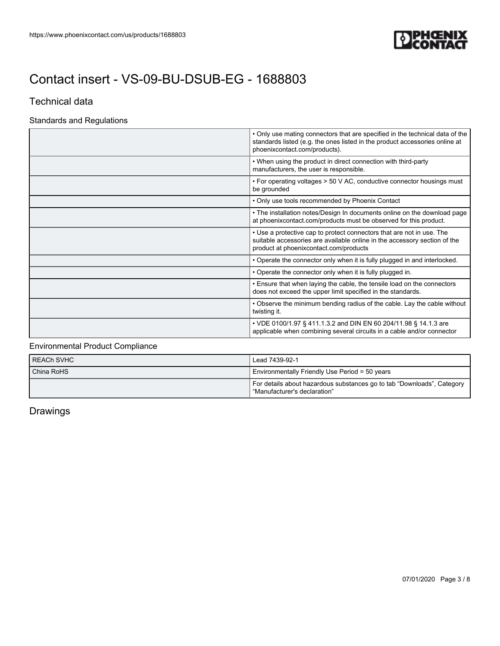

## Technical data

## Standards and Regulations

|                                                                                                                                                                                                     | • Only use mating connectors that are specified in the technical data of the<br>standards listed (e.g. the ones listed in the product accessories online at<br>phoenixcontact.com/products). |                                                                                          |  |
|-----------------------------------------------------------------------------------------------------------------------------------------------------------------------------------------------------|----------------------------------------------------------------------------------------------------------------------------------------------------------------------------------------------|------------------------------------------------------------------------------------------|--|
|                                                                                                                                                                                                     | • When using the product in direct connection with third-party<br>manufacturers, the user is responsible.                                                                                    |                                                                                          |  |
|                                                                                                                                                                                                     | • For operating voltages > 50 V AC, conductive connector housings must<br>be grounded                                                                                                        |                                                                                          |  |
|                                                                                                                                                                                                     | • Only use tools recommended by Phoenix Contact                                                                                                                                              |                                                                                          |  |
|                                                                                                                                                                                                     | • The installation notes/Design In documents online on the download page<br>at phoenixcontact.com/products must be observed for this product.                                                |                                                                                          |  |
|                                                                                                                                                                                                     | • Use a protective cap to protect connectors that are not in use. The<br>suitable accessories are available online in the accessory section of the<br>product at phoenixcontact.com/products |                                                                                          |  |
| • Operate the connector only when it is fully plugged in and interlocked.                                                                                                                           |                                                                                                                                                                                              |                                                                                          |  |
| . Operate the connector only when it is fully plugged in.<br>. Ensure that when laying the cable, the tensile load on the connectors<br>does not exceed the upper limit specified in the standards. |                                                                                                                                                                                              |                                                                                          |  |
|                                                                                                                                                                                                     |                                                                                                                                                                                              | • Observe the minimum bending radius of the cable. Lay the cable without<br>twisting it. |  |
|                                                                                                                                                                                                     | • VDE 0100/1.97 § 411.1.3.2 and DIN EN 60 204/11.98 § 14.1.3 are<br>applicable when combining several circuits in a cable and/or connector                                                   |                                                                                          |  |

## Environmental Product Compliance

| <b>REACH SVHC</b> | Lead 7439-92-1                                                                                           |  |  |
|-------------------|----------------------------------------------------------------------------------------------------------|--|--|
| China RoHS        | Environmentally Friendly Use Period = 50 years                                                           |  |  |
|                   | For details about hazardous substances go to tab "Downloads", Category<br>l "Manufacturer's declaration" |  |  |

## Drawings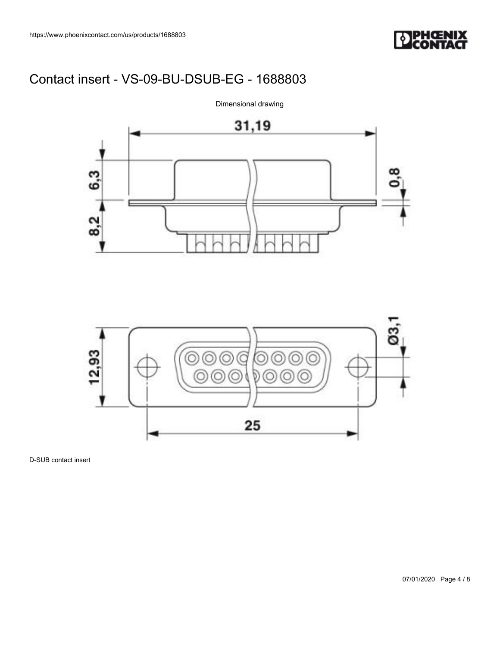





D-SUB contact insert

Dimensional drawing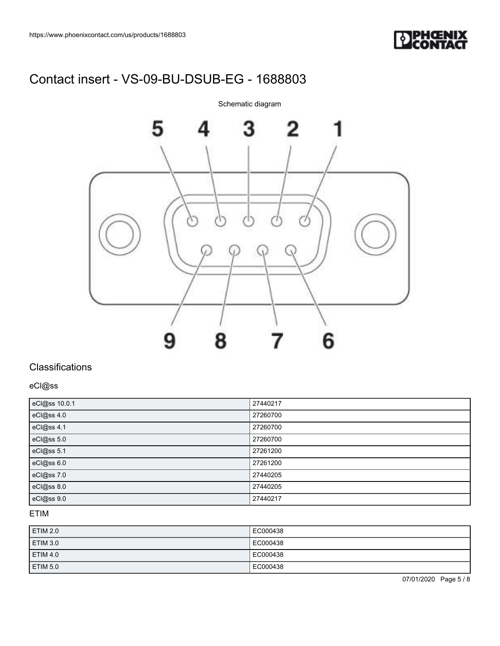



## **Classifications**

eCl@ss

| eCl@ss 10.0.1 | 27440217 |
|---------------|----------|
| eCl@ss 4.0    | 27260700 |
| eCl@ss 4.1    | 27260700 |
| eCl@ss 5.0    | 27260700 |
| eCl@ss 5.1    | 27261200 |
| eCl@ss 6.0    | 27261200 |
| eCl@ss 7.0    | 27440205 |
| eCl@ss 8.0    | 27440205 |
| eCl@ss 9.0    | 27440217 |

## ETIM

| ETIM 2.0        | EC000438 |
|-----------------|----------|
| <b>ETIM 3.0</b> | EC000438 |
| <b>ETIM 4.0</b> | EC000438 |
| ETIM 5.0        | EC000438 |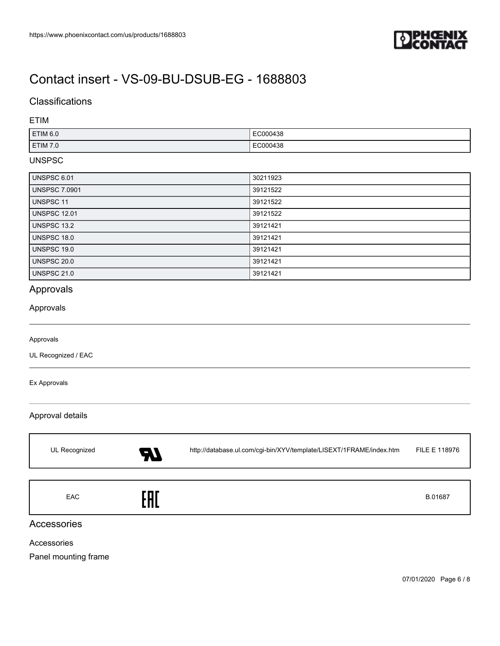

## **Classifications**

### ETIM

| ETIM 6.0 | EC000438 |
|----------|----------|
| ETIM 7.0 | EC000438 |

### UNSPSC

| UNSPSC 6.01          | 30211923 |
|----------------------|----------|
| <b>UNSPSC 7.0901</b> | 39121522 |
| <b>UNSPSC 11</b>     | 39121522 |
| <b>UNSPSC 12.01</b>  | 39121522 |
| UNSPSC 13.2          | 39121421 |
| UNSPSC 18.0          | 39121421 |
| UNSPSC 19.0          | 39121421 |
| <b>UNSPSC 20.0</b>   | 39121421 |
| <b>UNSPSC 21.0</b>   | 39121421 |

## Approvals

#### Approvals

#### Approvals

UL Recognized / EAC

#### Ex Approvals

### Approval details

| UL Recognized | ŖJ    | http://database.ul.com/cgi-bin/XYV/template/LISEXT/1FRAME/index.htm | FILE E 118976 |
|---------------|-------|---------------------------------------------------------------------|---------------|
| <b>EAC</b>    | : A I |                                                                     | B.01687       |

## Accessories

Accessories

Panel mounting frame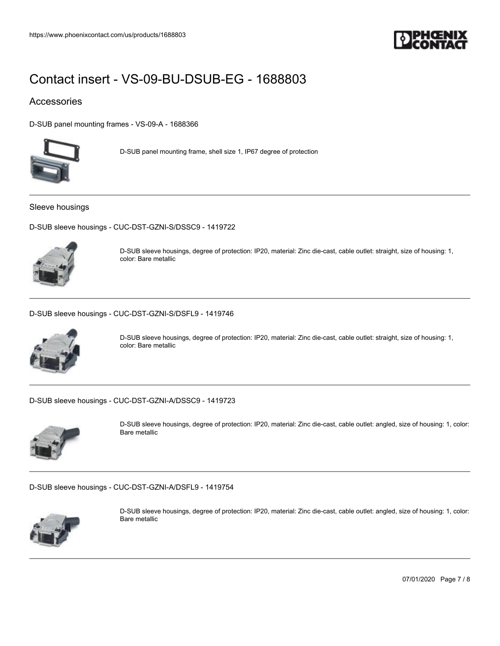

## Accessories

[D-SUB panel mounting frames - VS-09-A - 1688366](https://www.phoenixcontact.com/us/products/1688366)



D-SUB panel mounting frame, shell size 1, IP67 degree of protection

Sleeve housings

[D-SUB sleeve housings - CUC-DST-GZNI-S/DSSC9 - 1419722](https://www.phoenixcontact.com/us/products/1419722)



D-SUB sleeve housings, degree of protection: IP20, material: Zinc die-cast, cable outlet: straight, size of housing: 1, color: Bare metallic

[D-SUB sleeve housings - CUC-DST-GZNI-S/DSFL9 - 1419746](https://www.phoenixcontact.com/us/products/1419746)



D-SUB sleeve housings, degree of protection: IP20, material: Zinc die-cast, cable outlet: straight, size of housing: 1, color: Bare metallic

[D-SUB sleeve housings - CUC-DST-GZNI-A/DSSC9 - 1419723](https://www.phoenixcontact.com/us/products/1419723)



D-SUB sleeve housings, degree of protection: IP20, material: Zinc die-cast, cable outlet: angled, size of housing: 1, color: Bare metallic

[D-SUB sleeve housings - CUC-DST-GZNI-A/DSFL9 - 1419754](https://www.phoenixcontact.com/us/products/1419754)



D-SUB sleeve housings, degree of protection: IP20, material: Zinc die-cast, cable outlet: angled, size of housing: 1, color: Bare metallic